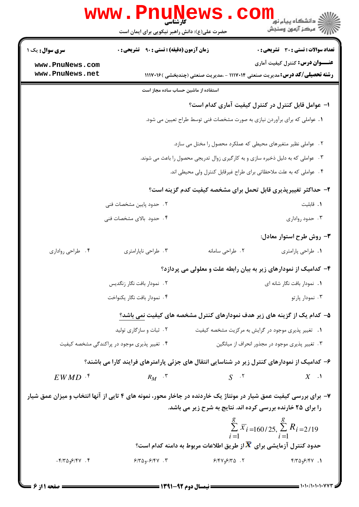|                                                                                                                   | WWW.Pnun<br>حضرت علی(ع): دانش راهبر نیکویی برای ایمان است                                    |                                                                                      | ر دانشڪاه پيام نور ■<br>// مرکز آزمون وسنڊش                                       |
|-------------------------------------------------------------------------------------------------------------------|----------------------------------------------------------------------------------------------|--------------------------------------------------------------------------------------|-----------------------------------------------------------------------------------|
| <b>سری سوال :</b> یک ۱                                                                                            | <b>زمان آزمون (دقیقه) : تستی : ۹۰ قشریحی : 0</b>                                             |                                                                                      | <b>تعداد سوالات : تستی : 30 ٪ تشریحی : 0</b>                                      |
| www.PnuNews.com                                                                                                   |                                                                                              |                                                                                      | <b>عنــــوان درس:</b> کنترل کیفیت آماری                                           |
| www.PnuNews.net                                                                                                   |                                                                                              |                                                                                      | <b>رشته تحصیلی/کد درس:</b> مدیریت صنعتی ۱۱۱۷۰۱۴ - ،مدیریت صنعتی (چندبخشی )۱۱۱۷۰۱۶ |
|                                                                                                                   | استفاده از ماشین حساب ساده مجاز است                                                          |                                                                                      |                                                                                   |
|                                                                                                                   |                                                                                              |                                                                                      | ۱– عوامل قابل کنترل در کنترل کیفیت آماری کدام است؟                                |
|                                                                                                                   |                                                                                              | ۱. عواملی که برای برآوردن نیازی به صورت مشخصات فنی توسط طراح تعیین می شود.           |                                                                                   |
|                                                                                                                   |                                                                                              | ۰۲ عواملی نظیر متغیرهای محیطی که عملکرد محصول را مختل می سازد.                       |                                                                                   |
|                                                                                                                   |                                                                                              | ۰۳ مواملی که به دلیل ذخیره سازی و به کارگیری زوال تدریجی محصول را باعث می شوند.      |                                                                                   |
|                                                                                                                   |                                                                                              | ۰۴ عواملی که به علت ملاحظاتی برای طراح غیرقابل کنترل ولی محیطی اند.                  |                                                                                   |
|                                                                                                                   |                                                                                              |                                                                                      | ۲- حداکثر تغییرپذیری قابل تحمل برای مشخصه کیفیت کدم گزینه است؟                    |
|                                                                                                                   | ٢. حدود پايين مشخصات فنى                                                                     |                                                                                      | ٠١. قابليت                                                                        |
|                                                                                                                   | ۴. حدود بالای مشخصات فنی                                                                     |                                                                                      | ۰۳ حدود رواداری                                                                   |
|                                                                                                                   |                                                                                              |                                                                                      | ۳- روش طرح استوار معادل:                                                          |
| ۰۴ طراحي رواداري                                                                                                  | ۰۳ طراحي ناپارامتري                                                                          | ٠٢ طراحي سامانه                                                                      | ٠١. طراحي پارامتري                                                                |
|                                                                                                                   |                                                                                              |                                                                                      | ۴– کدامیک از نمودارهای زیر به بیان رابطه علت و معلولی می پردازد؟                  |
|                                                                                                                   | ٢. نمودار بافت نگار زنگديس                                                                   |                                                                                      | 1. نمودار بافت نگار شانه ای                                                       |
|                                                                                                                   | ۰۴ نمودار بافت نگار يكنواخت                                                                  |                                                                                      | ۰۳ نمودار پارتو                                                                   |
|                                                                                                                   |                                                                                              |                                                                                      | ۵– کدام یک از گزینه های زیر هدف نمودارهای کنترل مشخصه های کیفیت نمی باشد؟         |
|                                                                                                                   | ۰۲ ثبات و سازگاری تولید                                                                      |                                                                                      | ۰۱ تغییر پذیری موجود در گرایش به مرکزیت مشخصه کیفیت                               |
|                                                                                                                   | ۴. تغییر پذیری موجود در پراکندگی مشخصه کیفیت                                                 |                                                                                      | ۰۳ تغییر پذیری موجود در مجذور انحراف از میانگین                                   |
|                                                                                                                   | ۶– کدامیک از نمودارهای کنترل زیر در شناسایی انتقال های جزئی پارامترهای فرایند کارا می باشند؟ |                                                                                      |                                                                                   |
| $EWMD$ $\cdot$ <sup>*</sup>                                                                                       | $R_M$ $\cdot$ $\cdot$                                                                        | $S^{\dots, \tau}$                                                                    | $X \cdot Y$                                                                       |
| ۷- برای بررسی کیفیت عمق شیار در مونتاژ یک خاردنده در جاخار محور، نمونه های ۴ تایی از آنها انتخاب و میزان عمق شیار |                                                                                              | را برای ۲۵ خارنده بررسی کرده اند. نتایج به شرح زیر می باشد.                          | $\sum_{i=1}^{8} \overline{x_i} = 160/25, \sum_{i=1}^{8} R_i = 2/19$               |
|                                                                                                                   |                                                                                              | حدود کنترل آزمایشی برای $\overline{\bm{X}}$ از طریق اطلاعات مربوط به دامنه کدام است؟ |                                                                                   |
| $-\mathfrak{F}/\mathfrak{F}\Delta_{9}\mathfrak{F}/\mathfrak{F}V$ . $\mathfrak{F}$                                 | $9/809 - 9/81$                                                                               | $9/9 \times 10^{-10}$                                                                | $f/T\Delta_{9}F/Y$ . 1                                                            |

 $\blacksquare$  ) • ) • / 1 • 1 • 1 • V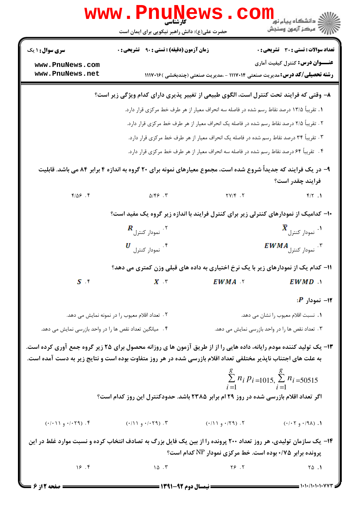|                                                                                                                                                                                                                                      | <b>WWW.PNUNGWS</b><br>حضرت علی(ع): دانش راهبر نیکویی برای ایمان است                                                                                                                                                           |                                                                                                                | کے دانشگاہ پیام نور<br> <br> 7  مرکز آزمون وسنجش           |  |  |  |  |  |
|--------------------------------------------------------------------------------------------------------------------------------------------------------------------------------------------------------------------------------------|-------------------------------------------------------------------------------------------------------------------------------------------------------------------------------------------------------------------------------|----------------------------------------------------------------------------------------------------------------|------------------------------------------------------------|--|--|--|--|--|
| <b>سری سوال : ۱ یک</b>                                                                                                                                                                                                               | زمان آزمون (دقیقه) : تستی : ۹۰٪ تشریحی : ۰                                                                                                                                                                                    |                                                                                                                | <b>تعداد سوالات : تستی : 30 ٪ تشریحی : 0</b>               |  |  |  |  |  |
| www.PnuNews.com<br>www.PnuNews.net                                                                                                                                                                                                   |                                                                                                                                                                                                                               | <b>رشته تحصیلی/کد درس:</b> مدیریت صنعتی ۱۱۱۷۰۱۴ - ،مدیریت صنعتی (چندبخشی )۱۱۱۷۰۱۶                              | عنـــوان درس: کنترل کیفیت آماری                            |  |  |  |  |  |
|                                                                                                                                                                                                                                      |                                                                                                                                                                                                                               | ۸– وقتی که فرایند تحت کنترل است، الگوی طبیعی از تغییر پذیری دارای کدام ویژگی زیر است؟                          |                                                            |  |  |  |  |  |
|                                                                                                                                                                                                                                      |                                                                                                                                                                                                                               | ۱. تقریباً ۱۳/۵ درصد نقاط رسم شده در فاصله سه انحراف معیار از هر طرف خط مرکزی قرار دارد.                       |                                                            |  |  |  |  |  |
|                                                                                                                                                                                                                                      |                                                                                                                                                                                                                               | ۲ . تقریباً ۲/۵ درصد نقاط رسم شده در فاصله یک انحراف معیار از هر طرف خط مرکزی قرار دارد.                       |                                                            |  |  |  |  |  |
|                                                                                                                                                                                                                                      |                                                                                                                                                                                                                               | ۳. تقریباً ۳۴ درصد نقاط رسم شده در فاصله یک انحراف معیار از هر طرف خط مرکزی قرار دارد.                         |                                                            |  |  |  |  |  |
|                                                                                                                                                                                                                                      |                                                                                                                                                                                                                               | ۴.   تقریباً ۶۴ درصد نقاط رسم شده در فاصله سه انحراف معیار از هر طرف خط مرکزی قرار دارد.                       |                                                            |  |  |  |  |  |
|                                                                                                                                                                                                                                      |                                                                                                                                                                                                                               | ۹- در یک فرایند که جدیداً شروع شده است، مجموع معیارهای نمونه برای ۲۰ گروه به اندازه ۴ برابر ۸۴ می باشد. قابلیت | فرايند چقدر است؟                                           |  |  |  |  |  |
| 9.09                                                                                                                                                                                                                                 | $\Delta/\xi$ . $\zeta$                                                                                                                                                                                                        | $\mathsf{Y} \mathsf{Y} / \mathsf{Y}$ .                                                                         | $f/Y$ .                                                    |  |  |  |  |  |
|                                                                                                                                                                                                                                      |                                                                                                                                                                                                                               | ۱۰– کدامیک از نمودارهای کنترلی زیر برای کنترل فرایند با اندازه زیر گروه یک مفید است؟                           |                                                            |  |  |  |  |  |
|                                                                                                                                                                                                                                      | $\bm{R}$ نمودار کنترل $\cdot$ ۲ $^{\circ}$                                                                                                                                                                                    |                                                                                                                | $\bm{\bar{X}}$ نمودار کنترل $\cdot$                        |  |  |  |  |  |
|                                                                                                                                                                                                                                      | $U$ نمودار کنترل.                                                                                                                                                                                                             | $EWMA$ نمودار کنترل $^{\circ}$                                                                                 |                                                            |  |  |  |  |  |
|                                                                                                                                                                                                                                      |                                                                                                                                                                                                                               | 11– کدام یک از نمودارهای زیر با یک نرخ اختیاری به داده های قبلی وزن کمتری می دهد؟                              |                                                            |  |  |  |  |  |
| $S$ is a set of $S$                                                                                                                                                                                                                  | $X$ $\tau$                                                                                                                                                                                                                    | EWMA Y                                                                                                         | $EWMD$ $\Lambda$                                           |  |  |  |  |  |
|                                                                                                                                                                                                                                      |                                                                                                                                                                                                                               |                                                                                                                | $P$ نمودار $-11$                                           |  |  |  |  |  |
|                                                                                                                                                                                                                                      | ۲. تعداد اقلام معیوب را در نمونه نمایش می دهد.                                                                                                                                                                                |                                                                                                                | 1. نسبت اقلام معيوب را نشان مي دهد.                        |  |  |  |  |  |
| ۰۴ میانگین تعداد نقص ها را در واحد بازرسی نمایش می دهد.                                                                                                                                                                              |                                                                                                                                                                                                                               |                                                                                                                | ۳. تعداد نقص ها را در واحد بازرسی نمایش می دهد.            |  |  |  |  |  |
| ۱۳- یک تولید کننده مودم رایانه، داده هایی را از از طریق آزمون ها ی روزانه محصول برای ۲۵ زیر گروه جمع آوری کرده است.<br>به علت های اجتناب ناپذیر مختلفی تعداد اقلام بازرسی شده در هر روز متفاوت بوده است و نتایج زیر به دست آمده است. |                                                                                                                                                                                                                               |                                                                                                                |                                                            |  |  |  |  |  |
|                                                                                                                                                                                                                                      |                                                                                                                                                                                                                               |                                                                                                                | $\sum_{i=1}^{8} n_i p_{i=1015} \sum_{i=1}^{8} n_i = 50515$ |  |  |  |  |  |
|                                                                                                                                                                                                                                      |                                                                                                                                                                                                                               | اگر تعداد اقلام بازرسی شده در روز ۲۹ ام برابر ۲۳۸۵ باشد. حدودکنترل این روز کدام است؟                           |                                                            |  |  |  |  |  |
| $(·/·)$ ۰/۰۲۹). ۶                                                                                                                                                                                                                    | $(1)$ ۰/۲۹) . (۲۹) . (۲۹) . (۲۹۰) . (۲۹۰) . (۲۰۲۹) . (۲۰۰۳) . (۲۰۰۳) . (۲۰۰۳) . (۲۰۰۳) . (۲۰۰۳) . (۲۰۰۹) . (۲۰۰۹) . (۲۰۰۹) . (۲۰۰۹) . (۲۰۰۹) . (۲۰۰۹) . (۲۰۰۹) . (۲۰۰۹) . (۲۰۰۹) . (۲۰۰۹) . (۲۰۰۹) . (۲۰۰۹) . (۲۰۰۹) . (۲۰۰۹) |                                                                                                                | $( \cdot / \cdot 7 \cdot ) \cdot / ( \cdot / \cdot )$ . (  |  |  |  |  |  |
| ۱۴- یک سازمان تولیدی، هر روز تعداد ۲۰۰ پرونده را از بین یک فایل بزرگ به تصادف انتخاب کرده و نسبت موارد غلط در این                                                                                                                    |                                                                                                                                                                                                                               | پرونده برابر ۰/۷۵ بوده است. خط مرکزی نمودار NP کدام است؟                                                       |                                                            |  |  |  |  |  |
| 19.7                                                                                                                                                                                                                                 | 10.7                                                                                                                                                                                                                          | $Y \in \mathcal{Y}$                                                                                            | $\sqrt{0}$ .                                               |  |  |  |  |  |
| صفحه 12ز 6                                                                                                                                                                                                                           | <b>ــــ نیمسال دوم ۹۲-۱۳۹۱ ــــــــ</b>                                                                                                                                                                                       |                                                                                                                | = ۱۰۱۰/۱۰۱۰۱۰۷۷۳ =                                         |  |  |  |  |  |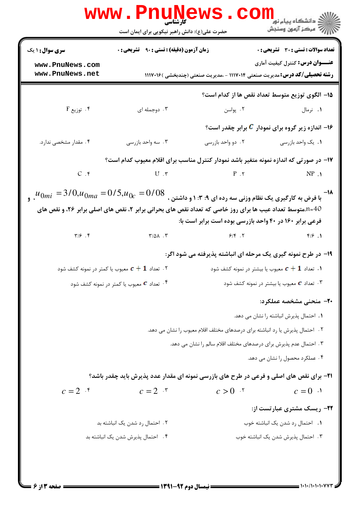|                                                                                                                        | <b>www.Pnun</b><br>۔<br>کارشناس <i>ی</i><br>حضرت علی(ع): دانش راهبر نیکویی برای ایمان است                                               | <b>JEWS . CO</b>                                                                  | ر دانشگاه پيام نور <mark>− .</mark><br>ارا≪ مرکز آزمون وسنجش     |
|------------------------------------------------------------------------------------------------------------------------|-----------------------------------------------------------------------------------------------------------------------------------------|-----------------------------------------------------------------------------------|------------------------------------------------------------------|
| <b>سری سوال : ۱ یک</b>                                                                                                 | <b>زمان آزمون (دقیقه) : تستی : ۹۰٪ تشریحی : 0</b>                                                                                       |                                                                                   | <b>تعداد سوالات : تستی : 30 ٪ تشریحی : 0</b>                     |
| www.PnuNews.com<br>www.PnuNews.net                                                                                     |                                                                                                                                         | <b>رشته تحصیلی/کد درس:</b> مدیریت صنعتی ۱۱۱۷۰۱۴ - ،مدیریت صنعتی (چندبخشی )۱۱۱۷۰۱۶ | <b>عنــــوان درس:</b> کنترل کیفیت آماری                          |
|                                                                                                                        |                                                                                                                                         |                                                                                   | ۱۵– الگوی توزیع متوسط تعداد نقص ها از کدام است؟                  |
|                                                                                                                        | $\mathbf F$ . توزیع $\mathbf f$ توزیع $\mathbf f$                                                                                       |                                                                                   |                                                                  |
|                                                                                                                        |                                                                                                                                         |                                                                                   | ۱۶- اندازه زیر گروه برای نمودار <mark>C</mark> برابر چقدر است؟   |
| ۰۴ مقدار مشخصی ندارد.                                                                                                  | ۰۳ سه واحد بازرسی                                                                                                                       | ۰۲ دو واحد بازرسی                                                                 | <b>۱</b> . یک واحد بازرسی                                        |
|                                                                                                                        | ۱۷– در صورتی که اندازه نمونه متغیر باشد نمودار کنترل مناسب برای اقلام معیوب کدام است؟                                                   |                                                                                   |                                                                  |
|                                                                                                                        | $C.$ $P.$ $N P.$ $N P.$ $N P.$ $N P.$ $N P.$ $N P.$ $N P.$ $N P.$ $N P.$ $N P.$ $N P.$ $N P.$                                           |                                                                                   |                                                                  |
| $\mu_{0mi}$ = $3/0,$ ۳ $\mu_{0mi}$ = $3/0,$ یوی یک نظام وزنی سه رده ای ۹: ۳: ۱ و داشتن ، $000$ = $\mu_{0mi}$ = $^{-1}$ | A=40.متوسط تعداد عیب ها برای روز خاصی که تعداد نقص های بحرانی برابر ۲، نقص های اصلی برابر ۲۶، و نقص های                                 | فرعی برابر ۱۶۰ در ۴۰ واحد بازرسی بوده است برابر است با:                           |                                                                  |
|                                                                                                                        | $\mathcal{F}/\mathcal{F}$ . $\mathcal{F}$ . T $\mathcal{F}/\mathcal{S}$ . T $\mathcal{F}/\mathcal{F}$ . T $\mathcal{F}/\mathcal{F}$ . T |                                                                                   |                                                                  |
|                                                                                                                        |                                                                                                                                         | ۱۹- در طرح نمونه گیری یک مرحله ای انباشته پذیرفته می شود اگر:                     |                                                                  |
|                                                                                                                        | تعداد $\bm{c}+\bm{1}$ معیوب یا کمتر در نمونه کشف شود $\cdot$                                                                            |                                                                                   | د. تعداد $\bm{c}+\bm{1}$ معيوب يا بيشتر در نمونه كشف شود $\cdot$ |
|                                                                                                                        | تعداد G معیوب یا کمتر در نمونه کشف شود $\cdot$ ۴                                                                                        |                                                                                   | ۰۳ تعداد <b>c</b> معیوب یا بیشتر در نمونه کشف شود                |
|                                                                                                                        |                                                                                                                                         |                                                                                   | <b>۲۰</b> - منحنی مشخصه عملکرد:                                  |
|                                                                                                                        |                                                                                                                                         |                                                                                   | ٠. احتمال پذيرش انباشته را نشان مي دهد.                          |
|                                                                                                                        |                                                                                                                                         | ۲. احتمال پذیرش یا رد انباشته برای درصدهای مختلف اقلام معیوب را نشان می دهد.      |                                                                  |
|                                                                                                                        |                                                                                                                                         | ۰۳ احتمال عدم پذیرش برای درصدهای مختلف اقلام سالم را نشان می دهد.                 |                                                                  |
|                                                                                                                        |                                                                                                                                         |                                                                                   | ۴ . عملکرد محصول را نشان می دهد.                                 |
|                                                                                                                        | <b>۲۱</b> - برای نقص های اصلی و فرعی در طرح های بازرسی نمونه ای مقدار عدد پذیرش باید چقدر باشد؟                                         |                                                                                   |                                                                  |
| $c=2$ $\cdot$                                                                                                          | $c=2$ $\cdot$                                                                                                                           | $c > 0$ $\cdot$                                                                   | $c = 0$ $\cdot$                                                  |
|                                                                                                                        |                                                                                                                                         |                                                                                   | <b>۲۲-</b> ریسک مشتری عبارتست از:                                |
|                                                                                                                        | ۰۲ احتمال رد شدن یک انباشته بد                                                                                                          |                                                                                   | ٠١. احتمال رد شدن يک انباشته خوب                                 |
|                                                                                                                        | ۰۴ احتمال پذیرش شدن یک انباشته بد                                                                                                       |                                                                                   | ۰۳ احتمال پذیرش شدن یک انباشته خوب                               |
|                                                                                                                        |                                                                                                                                         |                                                                                   |                                                                  |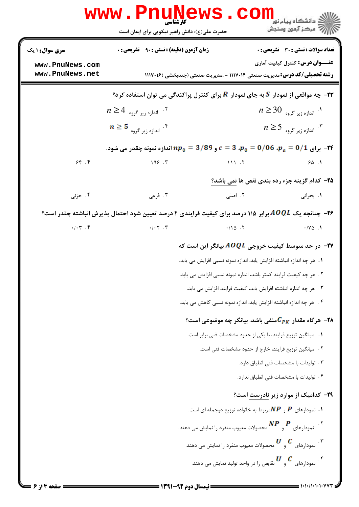|                                                       | www.Pnu̯Mews.col<br>حضرت علی(ع): دانش راهبر نیکویی برای ایمان است                                            |                                                                                                                                                                                                                                                                | ے دانشگاہ پیام نو <b>ر</b><br>ر آمرڪز آزمون وسنڊش                               |
|-------------------------------------------------------|--------------------------------------------------------------------------------------------------------------|----------------------------------------------------------------------------------------------------------------------------------------------------------------------------------------------------------------------------------------------------------------|---------------------------------------------------------------------------------|
| سری سوال : ۱ یک<br>www.PnuNews.com<br>www.PnuNews.net | <b>زمان آزمون (دقیقه) : تستی : ۹۰ قشریحی : 0</b>                                                             | <b>رشته تحصیلی/کد درس:</b> مدیریت صنعتی ۱۱۱۷۰۱۴ - ،مدیریت صنعتی (چندبخشی )۱۱۱۷۰۱۶                                                                                                                                                                              | تعداد سوالات : تستى : 30 - تشريحي : 0<br><b>عنـــوان درس:</b> کنترل کیفیت آماری |
|                                                       |                                                                                                              |                                                                                                                                                                                                                                                                |                                                                                 |
|                                                       | ۹۳- چه مواقعی از نمودار که به جای نمودار $R$ برای کنترل پراکندگی می توان استفاده کرد؟                        |                                                                                                                                                                                                                                                                |                                                                                 |
|                                                       | $n \geq 4$ اندازه زیر گروه"                                                                                  |                                                                                                                                                                                                                                                                | $n \geq 30$ اندازه زیر گروه $\cdot$                                             |
|                                                       | $n \geq 5$ اندازه زیر گروه $\cdot$ ۴.                                                                        |                                                                                                                                                                                                                                                                | $n \geq 5$ اندازه زیر گروه $\cdot$                                              |
|                                                       | - برای 1/0 = $p_a = 0/06$ . $p_a = 0/06$ و 9 $p_0 = 3/89$ اندازه نمونه چقدر می شود. $\bm{r}$                 |                                                                                                                                                                                                                                                                |                                                                                 |
| 95.99                                                 | 199.7                                                                                                        | $\overline{111}$ . T                                                                                                                                                                                                                                           | 90.1                                                                            |
|                                                       |                                                                                                              |                                                                                                                                                                                                                                                                | ۲۵- کدام گزینه جزء رده بندی نقص ها نمی باشد؟                                    |
| ۰۴ جزئی                                               | ۰۳ فرعی                                                                                                      | ۰۲ اصلی                                                                                                                                                                                                                                                        | ۰۱. بحرانی                                                                      |
|                                                       | <b>۲۶</b> – چنانچه یک AOQL برابر ۱/۵ درصد برای کیفیت فرایندی ۲ درصد تعیین شود احتمال پذیرش انباشته چقدر است؟ |                                                                                                                                                                                                                                                                |                                                                                 |
| $\cdot/\cdot \tau$ . $\zeta$                          | $\cdot/\cdot\tau$ . $\tau$                                                                                   | $\cdot/10$ . T                                                                                                                                                                                                                                                 | $\cdot$ / Y $\triangle$ . 1                                                     |
|                                                       |                                                                                                              | در حد متوسط کیفیت خروجی $A\mathit{OQL}$ بیانگر این است که $\blacktriangleright$                                                                                                                                                                                |                                                                                 |
|                                                       |                                                                                                              | 1.  هر چه اندازه انباشته افزایش یابد، اندازه نمونه نسبی افزایش می یابد.                                                                                                                                                                                        |                                                                                 |
|                                                       |                                                                                                              | ٢ . هر چه كيفيت فرايند كمتر باشد، اندازه نمونه نسبي افزايش مي يابد.                                                                                                                                                                                            |                                                                                 |
|                                                       |                                                                                                              | ۰۳ هر چه اندازه انباشته افزایش یابد، کیفیت فرایند افزایش می یابد.                                                                                                                                                                                              |                                                                                 |
|                                                       |                                                                                                              | ۴ .   هر چه اندازه انباشته افزایش یابد، اندازه نمونه نسبی کاهش می یابد.                                                                                                                                                                                        |                                                                                 |
|                                                       |                                                                                                              | ۰۲۸ هرگاه مقدار $\boldsymbol{C_{PK}}$ منفی باشد. بیانگر چه موضوعی است؟                                                                                                                                                                                         |                                                                                 |
|                                                       |                                                                                                              | 1. میانگین توزیع فرایند، با یکی از حدود مشخصات فنی برابر است.                                                                                                                                                                                                  |                                                                                 |
|                                                       |                                                                                                              | ٢ . ميانگين توزيع فرايند، خارج از حدود مشخصات فني است.                                                                                                                                                                                                         |                                                                                 |
|                                                       |                                                                                                              |                                                                                                                                                                                                                                                                | ۰۳ تولیدات با مشخصات فنی انطباق دارد.                                           |
|                                                       |                                                                                                              |                                                                                                                                                                                                                                                                | ۰۴ تولیدات با مشخصات فنی انطباق ندارد.                                          |
|                                                       |                                                                                                              |                                                                                                                                                                                                                                                                | <b>۳۹</b> - کدامیک از موارد زیر نادرست است؟                                     |
|                                                       |                                                                                                              | ۰۱ نمودارهای $\bm{P}$ و $\bm{NP}$ مربوط به خانواده توزیع دوجمله ای است.                                                                                                                                                                                        |                                                                                 |
|                                                       |                                                                                                              | ۰۲ نمودارهای $\boldsymbol{P}$ و $\boldsymbol{N}\boldsymbol{P}$ محصولات معیوب منفرد را نمایش می دهند.                                                                                                                                                           |                                                                                 |
|                                                       |                                                                                                              | ۰۳ نمودارهای $\begin{array}{c} \mathcal{U}\quad \mathcal{C} \end{array}$ محصولات معیوب منفرد را نمایش می دهند.                                                                                                                                                 |                                                                                 |
|                                                       |                                                                                                              | ۰۴ نمودارهای $\begin{array}{c} \boldsymbol{U} \hspace{1mm} \boldsymbol{C} \end{array}$ نفودارهای $\begin{array}{c} \boldsymbol{C} \hspace{1mm} \boldsymbol{C} \end{array}$ نفودارهای $\begin{array}{c} \boldsymbol{C} \hspace{1mm} \boldsymbol{C} \end{array}$ |                                                                                 |
|                                                       |                                                                                                              |                                                                                                                                                                                                                                                                |                                                                                 |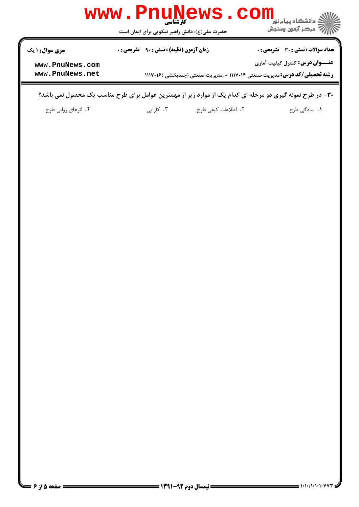

۳۰- در طرح نمونه گیری دو مرحله ای کدام یک از موارد زیر از مهمترین عوامل برای طرح مناسب یک محصول نمی باشد؟

 M 3G FG \$< 4 @ ? > & . . . .